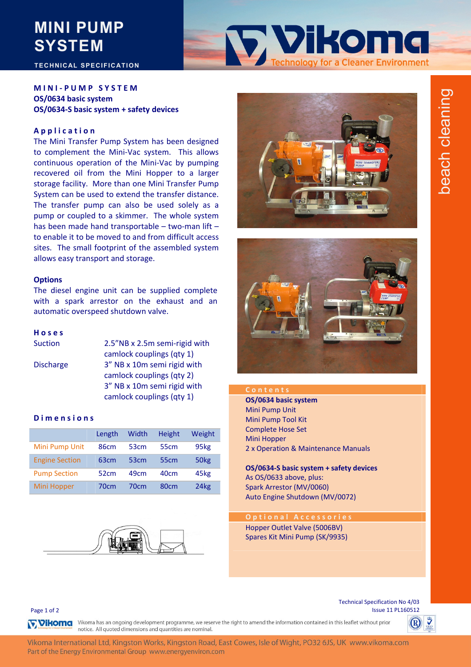# **MINI PUMP SYSTEM**

## **TECHNICAL SPECIFICATION**

## **MINI ‐ PUMP SYSTEM OS/0634 basic system OS/0634‐S basic system + safety devices**

## **Application**

The Mini Transfer Pump System has been designed to complement the Mini-Vac system. This allows continuous operation of the Mini‐Vac by pumping recovered oil from the Mini Hopper to a larger storage facility. More than one Mini Transfer Pump System can be used to extend the transfer distance. The transfer pump can also be used solely as a pump or coupled to a skimmer. The whole system has been made hand transportable – two-man lift – to enable it to be moved to and from difficult access sites. The small footprint of the assembled system allows easy transport and storage.

### **Options**

The diesel engine unit can be supplied complete with a spark arrestor on the exhaust and an automatic overspeed shutdown valve.

## **Hoses**

| <b>Suction</b>   | 2.5"NB x 2.5m semi-rigid with |
|------------------|-------------------------------|
|                  | camlock couplings (qty 1)     |
| <b>Discharge</b> | 3" NB x 10m semi rigid with   |
|                  | camlock couplings (qty 2)     |
|                  | 3" NB x 10m semi rigid with   |
|                  | camlock couplings (qty 1)     |

### **Dimensions**

|                       | Length           | Width            | <b>Height</b>    | Weight           |
|-----------------------|------------------|------------------|------------------|------------------|
| Mini Pump Unit        | 86 <sub>cm</sub> | 53 <sub>cm</sub> | 55 <sub>cm</sub> | 95kg             |
| <b>Engine Section</b> | 63 <sub>cm</sub> | 53 <sub>cm</sub> | 55 <sub>cm</sub> | 50 <sub>kg</sub> |
| <b>Pump Section</b>   | 52 <sub>cm</sub> | 49cm             | 40 <sub>cm</sub> | 45kg             |
| Mini Hopper           | 70cm             | 70cm             | 80 <sub>cm</sub> | 24 <sub>kg</sub> |





**Tylkoma** 

ology for a Cleaner Environment



**OS/0634 basic system** Mini Pump Unit Mini Pump Tool Kit Complete Hose Set Mini Hopper 2 x Operation & Maintenance Manuals

**OS/0634‐S basic system + safety devices** As OS/0633 above, plus: Spark Arrestor (MV/0060) Auto Engine Shutdown (MV/0072)

**Optional Accessories** Hopper Outlet Valve (5006BV) Spares Kit Mini Pump (SK/9935)

Page 1 of 2

Technical Specification No 4/03 Issue 11 PL160512

**TVIKOMG** Vikoma has an ongoing development programme, we reserve the right to amend the information contained in this leaflet without prior notice. All quoted dimensions and quantities are nominal.

Vikoma International Ltd, Kingston Works, Kingston Road, East Cowes, Isle of Wight, PO32 6JS, UK www.vikoma.com Part of the Energy Environmental Group www.energyenviron.com